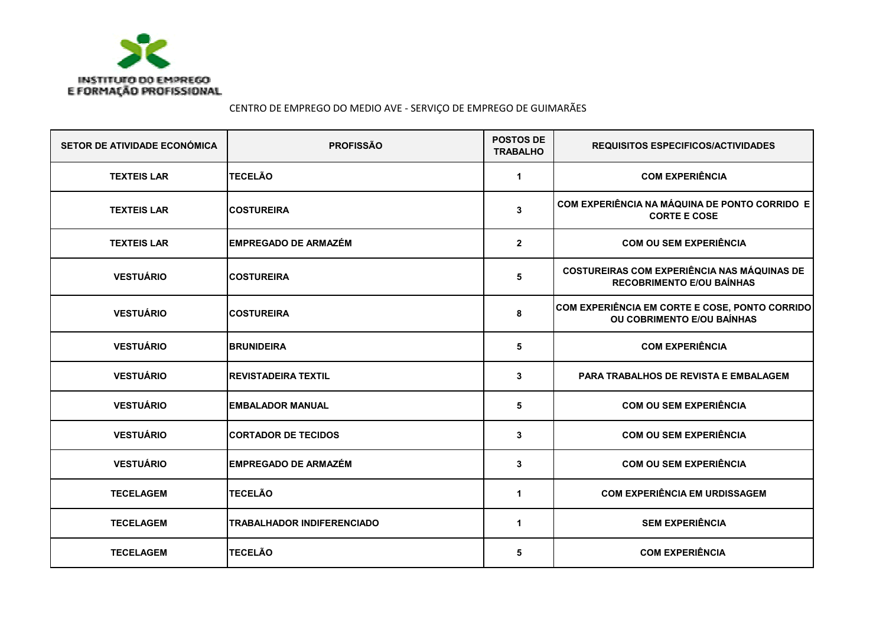

CENTRO DE EMPREGO DO MEDIO AVE - SERVIÇO DE EMPREGO DE GUIMARÃES

| <b>SETOR DE ATIVIDADE ECONÓMICA</b> | <b>PROFISSÃO</b>                  | <b>POSTOS DE</b><br><b>TRABALHO</b> | <b>REQUISITOS ESPECIFICOS/ACTIVIDADES</b>                                              |
|-------------------------------------|-----------------------------------|-------------------------------------|----------------------------------------------------------------------------------------|
| <b>TEXTEIS LAR</b>                  | <b>TECELÃO</b>                    | 1                                   | <b>COM EXPERIÊNCIA</b>                                                                 |
| <b>TEXTEIS LAR</b>                  | <b>COSTUREIRA</b>                 | 3                                   | COM EXPERIÊNCIA NA MÁQUINA DE PONTO CORRIDO E<br><b>CORTE E COSE</b>                   |
| <b>TEXTEIS LAR</b>                  | <b>EMPREGADO DE ARMAZÉM</b>       | $\overline{2}$                      | <b>COM OU SEM EXPERIÊNCIA</b>                                                          |
| <b>VESTUÁRIO</b>                    | <b>COSTUREIRA</b>                 | 5                                   | <b>COSTUREIRAS COM EXPERIÊNCIA NAS MÁQUINAS DE</b><br><b>RECOBRIMENTO E/OU BAÍNHAS</b> |
| <b>VESTUÁRIO</b>                    | <b>COSTUREIRA</b>                 | 8                                   | COM EXPERIÊNCIA EM CORTE E COSE, PONTO CORRIDO<br>OU COBRIMENTO E/OU BAÍNHAS           |
| <b>VESTUÁRIO</b>                    | <b>BRUNIDEIRA</b>                 | 5                                   | <b>COM EXPERIÊNCIA</b>                                                                 |
| <b>VESTUÁRIO</b>                    | <b>REVISTADEIRA TEXTIL</b>        | 3                                   | PARA TRABALHOS DE REVISTA E EMBALAGEM                                                  |
| <b>VESTUÁRIO</b>                    | <b>EMBALADOR MANUAL</b>           | 5                                   | <b>COM OU SEM EXPERIÊNCIA</b>                                                          |
| <b>VESTUÁRIO</b>                    | <b>CORTADOR DE TECIDOS</b>        | 3                                   | <b>COM OU SEM EXPERIÊNCIA</b>                                                          |
| <b>VESTUÁRIO</b>                    | <b>EMPREGADO DE ARMAZÉM</b>       | 3                                   | <b>COM OU SEM EXPERIÊNCIA</b>                                                          |
| <b>TECELAGEM</b>                    | <b>TECELÃO</b>                    | $\mathbf 1$                         | <b>COM EXPERIÊNCIA EM URDISSAGEM</b>                                                   |
| <b>TECELAGEM</b>                    | <b>TRABALHADOR INDIFERENCIADO</b> | $\mathbf 1$                         | <b>SEM EXPERIÊNCIA</b>                                                                 |
| <b>TECELAGEM</b>                    | <b>TECELÃO</b>                    | 5                                   | <b>COM EXPERIÊNCIA</b>                                                                 |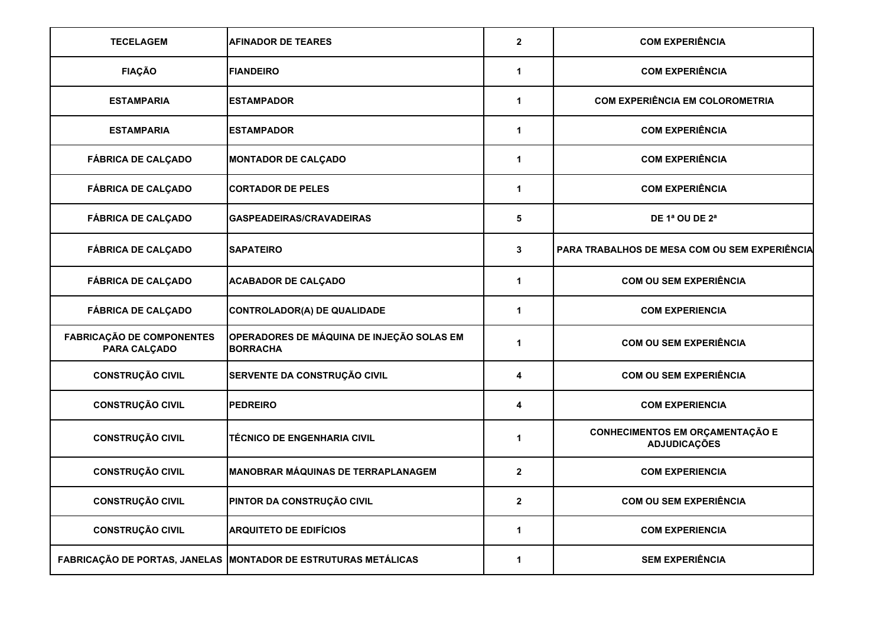| <b>TECELAGEM</b>                                 | <b>AFINADOR DE TEARES</b>                                      | $\mathbf{2}$            | <b>COM EXPERIÊNCIA</b>                                 |
|--------------------------------------------------|----------------------------------------------------------------|-------------------------|--------------------------------------------------------|
| <b>FIAÇÃO</b>                                    | <b>FIANDEIRO</b>                                               | $\mathbf{1}$            | <b>COM EXPERIÊNCIA</b>                                 |
| <b>ESTAMPARIA</b>                                | <b>ESTAMPADOR</b>                                              | $\mathbf{1}$            | <b>COM EXPERIÊNCIA EM COLOROMETRIA</b>                 |
| <b>ESTAMPARIA</b>                                | <b>ESTAMPADOR</b>                                              | $\mathbf 1$             | <b>COM EXPERIÊNCIA</b>                                 |
| <b>FÁBRICA DE CALÇADO</b>                        | <b>MONTADOR DE CALÇADO</b>                                     | 1                       | <b>COM EXPERIÊNCIA</b>                                 |
| <b>FÁBRICA DE CALÇADO</b>                        | <b>CORTADOR DE PELES</b>                                       | 1                       | <b>COM EXPERIÊNCIA</b>                                 |
| <b>FÁBRICA DE CALÇADO</b>                        | GASPEADEIRAS/CRAVADEIRAS                                       | 5                       | DE 1ª OU DE 2ª                                         |
| <b>FÁBRICA DE CALÇADO</b>                        | <b>SAPATEIRO</b>                                               | $\mathbf{3}$            | PARA TRABALHOS DE MESA COM OU SEM EXPERIÊNCIA          |
| <b>FÁBRICA DE CALÇADO</b>                        | <b>ACABADOR DE CALÇADO</b>                                     | $\mathbf 1$             | <b>COM OU SEM EXPERIÊNCIA</b>                          |
| <b>FÁBRICA DE CALÇADO</b>                        | <b>CONTROLADOR(A) DE QUALIDADE</b>                             | $\mathbf{1}$            | <b>COM EXPERIENCIA</b>                                 |
| <b>FABRICAÇÃO DE COMPONENTES</b><br>PARA CALÇADO | OPERADORES DE MÁQUINA DE INJEÇÃO SOLAS EM<br><b>BORRACHA</b>   | $\mathbf 1$             | <b>COM OU SEM EXPERIÊNCIA</b>                          |
| <b>CONSTRUÇÃO CIVIL</b>                          | SERVENTE DA CONSTRUÇÃO CIVIL                                   | 4                       | <b>COM OU SEM EXPERIÊNCIA</b>                          |
| <b>CONSTRUÇÃO CIVIL</b>                          | <b>PEDREIRO</b>                                                | 4                       | <b>COM EXPERIENCIA</b>                                 |
| <b>CONSTRUÇÃO CIVIL</b>                          | TÉCNICO DE ENGENHARIA CIVIL                                    | $\mathbf 1$             | CONHECIMENTOS EM ORÇAMENTAÇÃO E<br><b>ADJUDICAÇÕES</b> |
| <b>CONSTRUÇÃO CIVIL</b>                          | <b>MANOBRAR MÁQUINAS DE TERRAPLANAGEM</b>                      | $\overline{2}$          | <b>COM EXPERIENCIA</b>                                 |
| <b>CONSTRUÇÃO CIVIL</b>                          | PINTOR DA CONSTRUÇÃO CIVIL                                     | $\overline{\mathbf{2}}$ | <b>COM OU SEM EXPERIÊNCIA</b>                          |
| <b>CONSTRUÇÃO CIVIL</b>                          | <b>ARQUITETO DE EDIFÍCIOS</b>                                  | $\mathbf{1}$            | <b>COM EXPERIENCIA</b>                                 |
|                                                  | FABRICAÇÃO DE PORTAS, JANELAS MONTADOR DE ESTRUTURAS METÁLICAS | 1                       | <b>SEM EXPERIÊNCIA</b>                                 |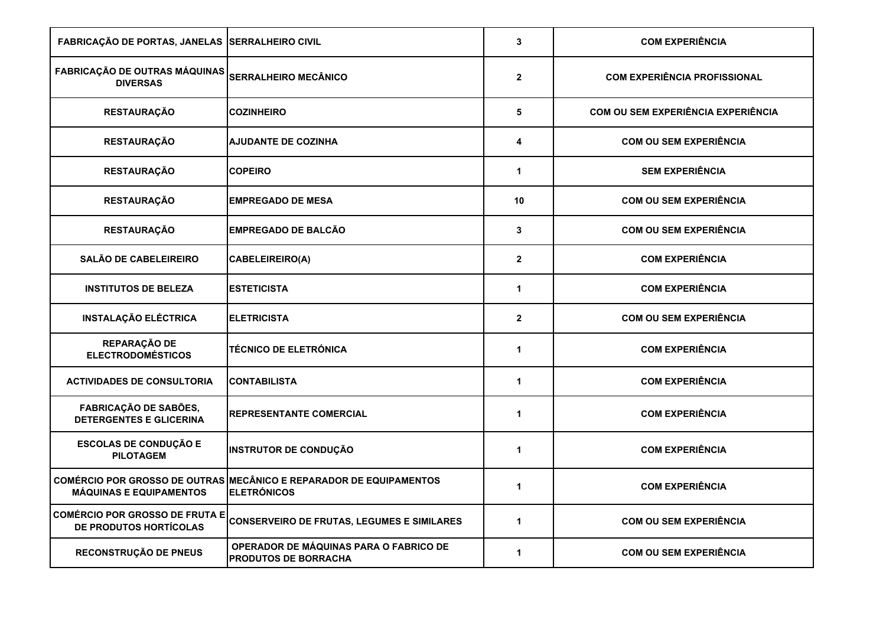| FABRICAÇÃO DE PORTAS, JANELAS SERRALHEIRO CIVIL                 |                                                                                          | 3                       | <b>COM EXPERIÊNCIA</b>                    |
|-----------------------------------------------------------------|------------------------------------------------------------------------------------------|-------------------------|-------------------------------------------|
| FABRICAÇÃO DE OUTRAS MÁQUINAS<br><b>DIVERSAS</b>                | <b>SERRALHEIRO MECÂNICO</b>                                                              | $\overline{\mathbf{2}}$ | <b>COM EXPERIÊNCIA PROFISSIONAL</b>       |
| <b>RESTAURAÇÃO</b>                                              | <b>COZINHEIRO</b>                                                                        | 5                       | <b>COM OU SEM EXPERIÊNCIA EXPERIÊNCIA</b> |
| <b>RESTAURAÇÃO</b>                                              | <b>AJUDANTE DE COZINHA</b>                                                               | 4                       | <b>COM OU SEM EXPERIÊNCIA</b>             |
| <b>RESTAURAÇÃO</b>                                              | <b>COPEIRO</b>                                                                           | $\mathbf{1}$            | <b>SEM EXPERIÊNCIA</b>                    |
| <b>RESTAURAÇÃO</b>                                              | <b>EMPREGADO DE MESA</b>                                                                 | 10                      | <b>COM OU SEM EXPERIÊNCIA</b>             |
| <b>RESTAURAÇÃO</b>                                              | <b>EMPREGADO DE BALCÃO</b>                                                               | 3                       | <b>COM OU SEM EXPERIÊNCIA</b>             |
| <b>SALÃO DE CABELEIREIRO</b>                                    | <b>CABELEIREIRO(A)</b>                                                                   | $\mathbf{2}$            | <b>COM EXPERIÊNCIA</b>                    |
| <b>INSTITUTOS DE BELEZA</b>                                     | <b>ESTETICISTA</b>                                                                       | $\mathbf{1}$            | <b>COM EXPERIÊNCIA</b>                    |
| <b>INSTALAÇÃO ELÉCTRICA</b>                                     | <b>ELETRICISTA</b>                                                                       | $\mathbf{2}$            | <b>COM OU SEM EXPERIÊNCIA</b>             |
| REPARAÇÃO DE<br><b>ELECTRODOMÉSTICOS</b>                        | <b>TÉCNICO DE ELETRÓNICA</b>                                                             | $\mathbf{1}$            | <b>COM EXPERIÊNCIA</b>                    |
| <b>ACTIVIDADES DE CONSULTORIA</b>                               | <b>CONTABILISTA</b>                                                                      | $\mathbf 1$             | <b>COM EXPERIÊNCIA</b>                    |
| <b>FABRICAÇÃO DE SABÕES,</b><br><b>DETERGENTES E GLICERINA</b>  | <b>REPRESENTANTE COMERCIAL</b>                                                           | 1                       | <b>COM EXPERIÊNCIA</b>                    |
| <b>ESCOLAS DE CONDUÇÃO E</b><br><b>PILOTAGEM</b>                | <b>INSTRUTOR DE CONDUÇÃO</b>                                                             | 1                       | <b>COM EXPERIÊNCIA</b>                    |
| <b>MÁQUINAS E EQUIPAMENTOS</b>                                  | COMÉRCIO POR GROSSO DE OUTRAS MECÂNICO E REPARADOR DE EQUIPAMENTOS<br><b>ELETRÓNICOS</b> | 1                       | <b>COM EXPERIÊNCIA</b>                    |
| <b>COMÉRCIO POR GROSSO DE FRUTA E</b><br>DE PRODUTOS HORTÍCOLAS | <b>CONSERVEIRO DE FRUTAS, LEGUMES E SIMILARES</b>                                        | 1                       | <b>COM OU SEM EXPERIÊNCIA</b>             |
| RECONSTRUÇÃO DE PNEUS                                           | OPERADOR DE MÁQUINAS PARA O FABRICO DE<br><b>PRODUTOS DE BORRACHA</b>                    | $\blacktriangleleft$    | <b>COM OU SEM EXPERIÊNCIA</b>             |